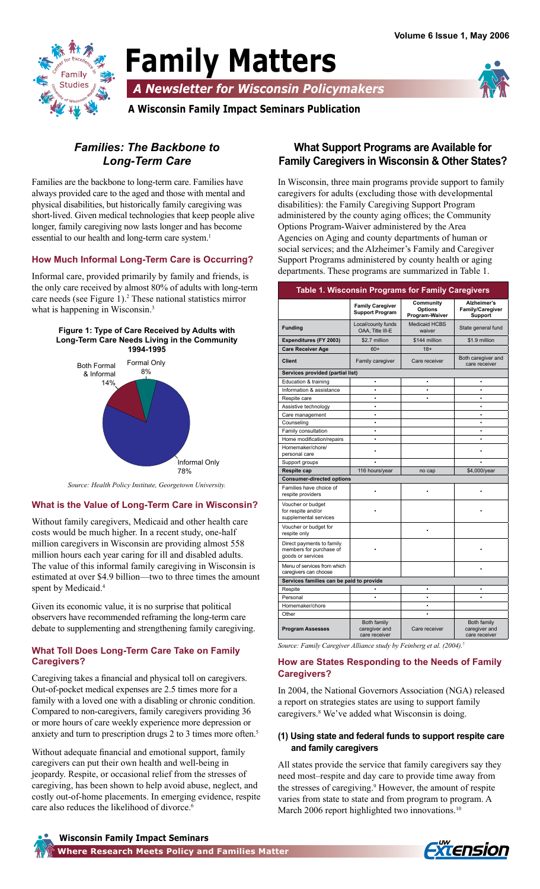

## **Family Matters**

*A Newsletter for Wisconsin Policymakers*



**A Wisconsin Family Impact Seminars Publication**

## *Families: The Backbone to Long-Term Care*

**Family caregiving now lasts longer and has become Options Program**<br>
essential to our health and long-term care system.<sup>1</sup> Agencies on Agencies on Agencies Families are the backbone to long-term care. Families have always provided care to the aged and those with mental and physical disabilities, but historically family caregiving was short-lived. Given medical technologies that keep people alive essential to our health and long-term care system.<sup>1</sup>

## How Much Informal Long-Term Care is Occurring? Support Programs administer

hormal care, provided primality by family and firends, is<br>the only care received by almost 80% of adults with long-term Informal care, provided primarily by family and friends, is care needs (see Figure 1).2 These national statistics mirror what is happening in Wisconsin.<sup>3</sup>





*Source: Health Policy Institute, Georgetown University.*

## **What is the Value of Long-Term Care in Wisconsin?**

Without family caregivers, Medicaid and other health care costs would be much higher. In a recent study, one-half million caregivers in Wisconsin are providing almost 558 million hours each year caring for ill and disabled adults. The value of this informal family caregiving in Wisconsin is estimated at over \$4.9 billion—two to three times the amount spent by Medicaid.<sup>4</sup>

Given its economic value, it is no surprise that political observers have recommended reframing the long-term care debate to supplementing and strengthening family caregiving.

#### **Wisconsin Family Impact Seminars What Toll Does Long-Term Care Take on Family Caregivers?**

Caregiving takes a financial and physical toll on caregivers. Out-of-pocket medical expenses are 2.5 times more for a family with a loved one with a disabling or chronic condition. Compared to non-caregivers, family caregivers providing 36 or more hours of care weekly experience more depression or anxiety and turn to prescription drugs 2 to 3 times more often.5

Without adequate financial and emotional support, family caregivers can put their own health and well-being in jeopardy. Respite, or occasional relief from the stresses of caregiving, has been shown to help avoid abuse, neglect, and costly out-of-home placements. In emerging evidence, respite care also reduces the likelihood of divorce.<sup>6</sup>

## **What Support Programs are Available for Family Caregivers in Wisconsin & Other States?**

disabilities): the Family Caregiving Support Program In Wisconsin, three main programs provide support to family caregivers for adults (excluding those with developmental administered by the county aging offices; the Community Options Program-Waiver administered by the Area Agencies on Aging and county departments of human or social services; and the Alzheimer's Family and Caregiver Support Programs administered by county health or aging departments. These programs are summarized in Table 1.

| Table 1. Wisconsin Programs for Family Caregivers                         |                                                   |                                               |                                                   |
|---------------------------------------------------------------------------|---------------------------------------------------|-----------------------------------------------|---------------------------------------------------|
|                                                                           | <b>Family Caregiver</b><br><b>Support Program</b> | Community<br><b>Options</b><br>Program-Waiver | Alzheimer's<br>Family/Caregiver<br><b>Support</b> |
| <b>Funding</b>                                                            | Local/county funds<br>OAA, Title III-E            | <b>Medicaid HCBS</b><br>waiver                | State general fund                                |
| Expenditures (FY 2003)                                                    | \$2.7 million                                     | \$144 million                                 | \$1.9 million                                     |
| <b>Care Receiver Age</b>                                                  | $60+$                                             | $18+$                                         |                                                   |
| <b>Client</b>                                                             | Family caregiver                                  | Care receiver                                 | Both caregiver and<br>care receiver               |
| Services provided (partial list)                                          |                                                   |                                               |                                                   |
| Education & training                                                      | $\bullet$                                         | ٠                                             | ٠                                                 |
| Information & assistance                                                  | $\bullet$                                         | $\ddot{\phantom{a}}$                          | $\ddot{\phantom{a}}$                              |
| Respite care                                                              | $\bullet$                                         | $\bullet$                                     | ۰                                                 |
| Assistive technology                                                      | $\bullet$                                         |                                               | ٠                                                 |
| Care management                                                           |                                                   |                                               |                                                   |
| Counseling                                                                |                                                   |                                               |                                                   |
| Family consultation                                                       |                                                   |                                               |                                                   |
| Home modification/repairs                                                 | $\bullet$                                         |                                               |                                                   |
| Homemaker/chore/<br>personal care                                         |                                                   |                                               |                                                   |
| Support groups                                                            |                                                   |                                               |                                                   |
| <b>Respite cap</b>                                                        | 116 hours/year                                    | no cap                                        | \$4,000/year                                      |
| <b>Consumer-directed options</b>                                          |                                                   |                                               |                                                   |
| Families have choice of<br>respite providers                              |                                                   |                                               |                                                   |
| Voucher or budget<br>for respite and/or<br>supplemental services          |                                                   |                                               |                                                   |
| Voucher or budget for<br>respite only                                     |                                                   |                                               |                                                   |
| Direct payments to family<br>members for purchase of<br>goods or services |                                                   |                                               |                                                   |
| Menu of services from which<br>caregivers can choose                      |                                                   |                                               |                                                   |
| Services families can be paid to provide                                  |                                                   |                                               |                                                   |
| Respite                                                                   |                                                   |                                               |                                                   |
| Personal                                                                  |                                                   | ٠                                             |                                                   |
| Homemaker/chore                                                           |                                                   | $\ddot{\phantom{0}}$                          |                                                   |
| Other                                                                     |                                                   | ٠                                             |                                                   |
| <b>Program Assesses</b>                                                   | Both family<br>caregiver and<br>care receiver     | Care receiver                                 | Both family<br>caregiver and<br>care receiver     |

*Source: Family Caregiver Alliance study by Feinberg et al. (2004).*<sup>7</sup>

#### **How are States Responding to the Needs of Family Caregivers?**

In 2004, the National Governors Association (NGA) released a report on strategies states are using to support family caregivers.8 We've added what Wisconsin is doing.

#### **(1) Using state and federal funds to support respite care and family caregivers**

All states provide the service that family caregivers say they need most–respite and day care to provide time away from the stresses of caregiving.<sup>9</sup> However, the amount of respite varies from state to state and from program to program. A March 2006 report highlighted two innovations.<sup>10</sup>



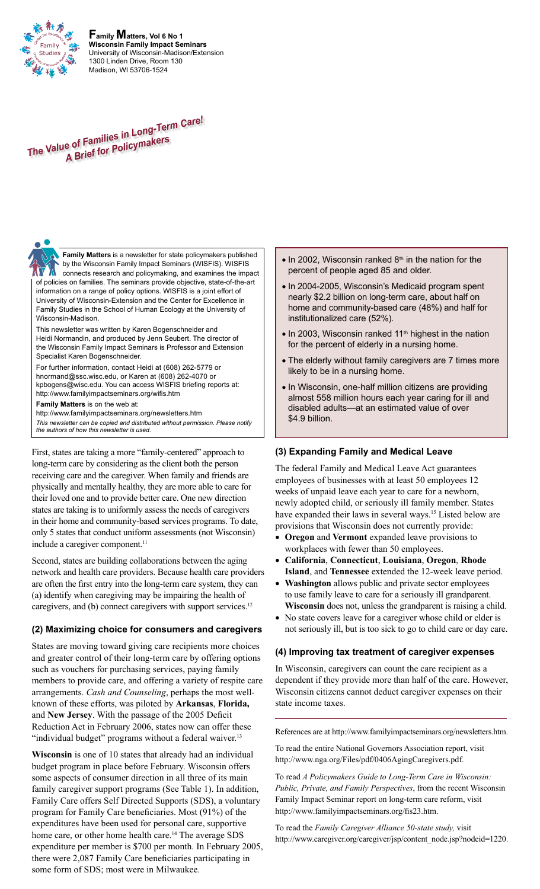

**Family Matters, Vol 6 No 1 Wisconsin Family Impact Seminars** University of Wisconsin-Madison/Extension 1300 Linden Drive, Room 130 Madison, WI 53706-1524

# *The Value of Families in Long-Term Care! A Brief for Policymakers*

**Family Matters** is a newsletter for state policymakers published by the Wisconsin Family Impact Seminars (WISFIS). WISFIS connects research and policymaking, and examines the impact of policies on families. The seminars provide objective, state-of-the-art information on a range of policy options. WISFIS is a joint effort of University of Wisconsin-Extension and the Center for Excellence in Family Studies in the School of Human Ecology at the University of Wisconsin-Madison.

This newsletter was written by Karen Bogenschneider and Heidi Normandin, and produced by Jenn Seubert. The director of the Wisconsin Family Impact Seminars is Professor and Extension Specialist Karen Bogenschneider.

For further information, contact Heidi at (608) 262-5779 or [hnormand@ssc.wisc.edu,](mailto:hnormand@ssc.wisc.edu) or Karen at (608) 262-4070 or [kpbogens@wisc.edu.](mailto:kpbogens@wisc.edu) You can access WISFIS briefing reports at: <http://www.familyimpactseminars.org/wifis.htm>

**Family Matters** is on the web at:

<http://www.familyimpactseminars.org/newsletters.htm> *This newsletter can be copied and distributed without permission. Please notify the authors of how this newsletter is used.*

First, states are taking a more "family-centered" approach to long-term care by considering as the client both the person receiving care and the caregiver. When family and friends are physically and mentally healthy, they are more able to care for their loved one and to provide better care. One new direction states are taking is to uniformly assess the needs of caregivers in their home and community-based services programs. To date, only 5 states that conduct uniform assessments (not Wisconsin) include a caregiver component.<sup>11</sup>

Second, states are building collaborations between the aging network and health care providers. Because health care providers are often the first entry into the long-term care system, they can (a) identify when caregiving may be impairing the health of caregivers, and (b) connect caregivers with support services.12

## **(2) Maximizing choice for consumers and caregivers**

States are moving toward giving care recipients more choices and greater control of their long-term care by offering options such as vouchers for purchasing services, paying family members to provide care, and offering a variety of respite care arrangements. *Cash and Counseling*, perhaps the most wellknown of these efforts, was piloted by **Arkansas**, **Florida,** and **New Jersey**. With the passage of the 2005 Deficit Reduction Act in February 2006, states now can offer these "individual budget" programs without a federal waiver.<sup>13</sup>

**Wisconsin** is one of 10 states that already had an individual budget program in place before February. Wisconsin offers some aspects of consumer direction in all three of its main family caregiver support programs (See Table 1). In addition, Family Care offers Self Directed Supports (SDS), a voluntary program for Family Care beneficiaries. Most (91%) of the expenditures have been used for personal care, supportive home care, or other home health care.<sup>14</sup> The average SDS expenditure per member is \$700 per month. In February 2005, there were 2,087 Family Care beneficiaries participating in some form of SDS; most were in Milwaukee.

- $\bullet$  In 2002, Wisconsin ranked 8<sup>th</sup> in the nation for the percent of people aged 85 and older.
- In 2004-2005, Wisconsin's Medicaid program spent nearly \$2.2 billion on long-term care, about half on home and community-based care (48%) and half for institutionalized care (52%).
- In 2003, Wisconsin ranked 11<sup>th</sup> highest in the nation for the percent of elderly in a nursing home.
- The elderly without family caregivers are 7 times more likely to be in a nursing home.
- In Wisconsin, one-half million citizens are providing almost 558 million hours each year caring for ill and disabled adults—at an estimated value of over \$4.9 billion.

## **(3) Expanding Family and Medical Leave**

The federal Family and Medical Leave Act guarantees employees of businesses with at least 50 employees 12 weeks of unpaid leave each year to care for a newborn, newly adopted child, or seriously ill family member. States have expanded their laws in several ways.<sup>15</sup> Listed below are provisions that Wisconsin does not currently provide:

- • **Oregon** and **Vermont** expanded leave provisions to workplaces with fewer than 50 employees.
- • **California**, **Connecticut**, **Louisiana**, **Oregon**, **Rhode Island**, and **Tennessee** extended the 12-week leave period.
- • **Washington** allows public and private sector employees to use family leave to care for a seriously ill grandparent. **Wisconsin** does not, unless the grandparent is raising a child.
- No state covers leave for a caregiver whose child or elder is not seriously ill, but is too sick to go to child care or day care.

## **(4) Improving tax treatment of caregiver expenses**

In Wisconsin, caregivers can count the care recipient as a dependent if they provide more than half of the care. However, Wisconsin citizens cannot deduct caregiver expenses on their state income taxes.

References are at [http://www.familyimpactseminars.org/newsletters.htm.](http://www.familyimpactseminars.org/newsletters.htm) 

To read the entire National Governors Association report, visit [http://www.nga.org/Files/pdf/0406AgingCaregivers.pdf.](http://www.nga.org/Files/pdf/0406AgingCaregivers.pdf)

To read *A Policymakers Guide to Long-Term Care in Wisconsin: Public, Private, and Family Perspectives*, from the recent Wisconsin Family Impact Seminar report on long-term care reform, visit [http://www.familyimpactseminars.org/fis23.htm.](http://www.familyimpactseminars.org/fis23.htm)

To read the *Family Caregiver Alliance 50-state study,* visit [http://www.caregiver.org/caregiver/jsp/content\\_node.jsp?nodeid=1220.](http://www.caregiver.org/caregiver/jsp/content_node.jsp?nodeid=1220)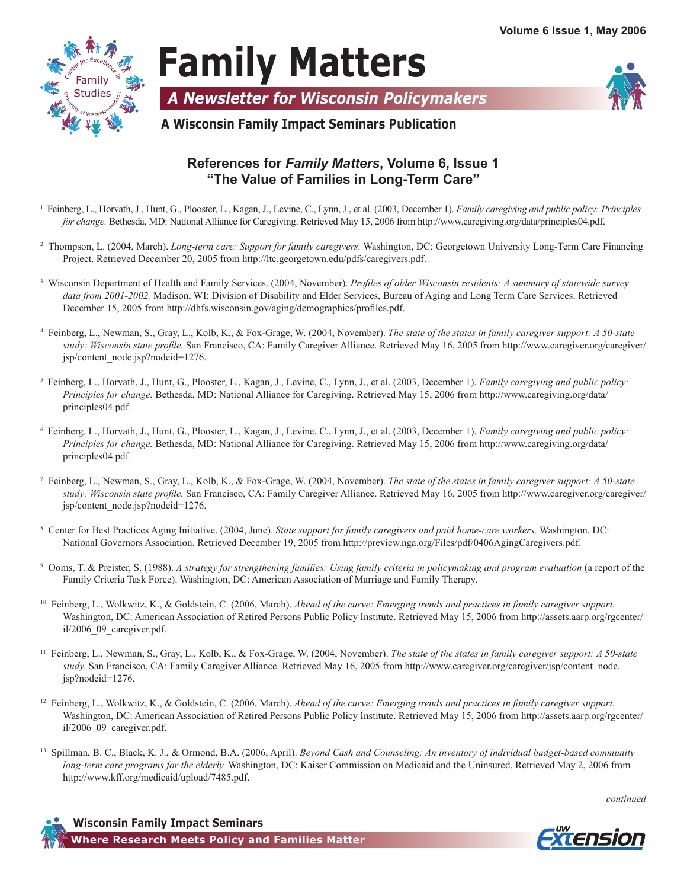

#### **Family Matters**  $\mathbf{E} = \mathbf{E} \mathbf{E} \mathbf{E} \mathbf{E} \mathbf{E} \mathbf{E} \mathbf{E} \mathbf{E} \mathbf{E} \mathbf{E} \mathbf{E} \mathbf{E} \mathbf{E} \mathbf{E} \mathbf{E} \mathbf{E} \mathbf{E} \mathbf{E} \mathbf{E} \mathbf{E} \mathbf{E} \mathbf{E} \mathbf{E} \mathbf{E} \mathbf{E} \mathbf{E} \mathbf{E} \mathbf{E} \mathbf{E} \mathbf{E} \mathbf{E} \mathbf{E} \mathbf{E} \mathbf{E} \mathbf{E} \mathbf$ Options Program-Waiver administered by the Area Agencies on Aging and county departments of human or social services; and the Alzheimer's Family and Caregiver

*A Newsletter for Wisconsin Policymakers* departments. These programs are summarized in Table 1. The  $\mathcal{T}_\text{A}$ 



#### **A Wisconsin Family Impact Seminars Publication** These national statistics mirror

#### **References for Family Matters, Volume 6, Issue 1** "The Value of Families in Long-Term Care" **Family Caregivers in Wisconsin & Other States? Expenditures (FY 2003)** \$2.7 million \$144 million \$1.9 million

- <sup>1</sup> Feinberg, L., Horvath, J., Hunt, G., Plooster, L., Kagan, J., Levine, C., Lynn, J., et al. (2003, December 1). *Family caregiving and public policy: Principles* for change. Bethesda, MD: National Alliance for Caregiving. Retrieved May 15, 2006 from [http://www.caregiving.org/data/principles04.pdf.](http://www.caregiving.org/data/principles04.pdf)  $\mathcal{L}$  provided and those with mental and those with mental and those with mental and those with mental and those with mental and those with mental and those with mental and those with mental and those with mental and t caregivers for a duality  $\mathcal{C}$  of  $\mathcal{C}$  of  $\mathcal{C}$  with developmental developmental developmental developmental developmental developmental developmental developmental developmental developmental developmental deve client Family caregiving and public policy. *Frinciple*.<br>15, 2006 S<sub>and</sub> Muslim Caregiving and public policy. **Frinciple**.
- <sup>2</sup> Thompson, L. (2004, March). Long-term care: Support for family caregivers. Washington, DC: Georgetown University Long-Term Care Financing Project. Retrieved December 20, 2005 from [http://ltc.georgetown.edu/pdfs/caregivers.pdf.](http://ltc.georgetown.edu/pdfs/caregivers.pdf) 4, March). Long-term care: Support for family caregivers. Washington, DC: Georgetown University Long-Term Care Fi
- <sup>3</sup> Wisconsin Department of Health and Family Services. (2004, November). Profiles of older Wisconsin residents: A summary of statewide survey data from 2001-2002. Madison, WI: Division of Disability and Elder Services, Bureau of Aging and Long Term Care Services. Retrieved<br>December 15, 2005 from http://dbfs.wisconsin.gov/asing/demographics/profiles.pdf December 15, 2005 from [http://dhfs.wisconsin.gov/aging/demographics/profiles.pdf.](http://dhfs.wisconsin.gov/aging/demographics/profiles.pdf) WISCONSIN Department of Health and Pamily Services. **How Much Informal Long-Term Care is Occurring?** Options Program-Waiver administered by the Area Profiles of older Wisconsin residents: A summary of statewide surv<br>Care managements of the second Level Trans Care Secondary Distributed  $S_{\rm p}$  and  $S_{\rm p}$  and  $S_{\rm p}$  and  $S_{\rm p}$  aging health or aging health or aging health or aging  $S_{\rm p}$  $\mathcal{L} = \mathcal{L}$
- <sup>4</sup> Feinberg, L., Newman, S., Gray, L., Kolb, K., & Fox-Grage, W. (2004, November). The state of the states in family caregiver support: A 50-state study: Wisconsin state profile. San Francisco, CA: Family Caregiver Alliance. Retrieved May 16, 2005 from [http://www.caregiver.org/caregiver/](http://www.caregiver.org/caregiver/jsp/content_node.jsp?nodeid=1276)<br>isp/content\_pode.isp?podeid=1276 [jsp/content\\_node.jsp?nodeid=1276.](http://www.caregiver.org/caregiver/jsp/content_node.jsp?nodeid=1276)  $T_{\rm tot}$  national statistics mirrors mirrors mirrors mirrors mirrors mirrors mirrors mirrors mirrors mirrors mirrors mirrors mirrors mirrors mirrors mirrors mirrors mirrors mirrors mirrors mirrors mirrors mirrors mirrors
- <sup>5</sup> Feinberg, L., Horvath, J., Hunt, G., Plooster, L., Kagan, J., Levine, C., Lynn, J., et al. (2003, December 1). Family caregiving and public policy: *Principles for change.* Bethesda, MD: National Alliance for Caregiving. Retrieved May 15, 2006 from [http://www.caregiving.org/data/](http://www.caregiving.org/data/principles04.pdf) [principles04.pdf.](http://www.caregiving.org/data/principles04.pdf) Funcipies for change. Bethestia, MD. National Amance for Caregiving. Ketheved May 15, 2000 from http://www.caregivin<br>Principles04 pdf waiver State general fund *Source: L., Horvath, J., Hunt, G., Plooster, L., Kagan, J., Levine, C., Lynn, J., et al. (2003, December 1). Family caregiving and public po*
- <sup>6</sup> Feinberg, L., Horvath, J., Hunt, G., Plooster, L., Kagan, J., Levine, C., Lynn, J., et al. (2003, December 1). Family caregiving and public policy: Principles for change. Bethesda, MD: National Alliance for Caregiving. Retrieved May 15, 2006 from [http://www.caregiving.org/data/](http://www.caregiving.org/data/principles04.pdf)  $principles 04.pdf.$  $\mathcal{O}$  I.pul.  $\mu$ illici $\mu$ rs each  $\mu$ urs each carried adults.
- <sup>7</sup> Feinberg, L., Newman, S., Gray, L., Kolb, K., & Fox-Grage, W. (2004, November). The state of the states in family caregiver support: A 50-state study: Wisconsin state profile. San Francisco, CA: Family Caregiver Alliance. Retrieved May 16, 2005 from [http://www.caregiver.org/caregiver/](http://www.caregiver.org/caregiver/jsp/content_node.jsp?nodeid=1276) [jsp/content\\_node.jsp?nodeid=1276.](http://www.caregiver.org/caregiver/jsp/content_node.jsp?nodeid=1276)
- <sup>8</sup> Center for Best Practices Aging Initiative. (2004, June). State support for family caregivers and paid home-care workers. Washington, DC: National Governors Association. Retrieved December 19, 2005 from [http://preview.nga.org/Files/pdf/0406AgingCaregivers.pdf.](http://preview.nga.org/Files/pdf/0406AgingCaregivers.pdf) <sup>8</sup> Center for Best Practices Aging Initiative. (2004, June). State support for family caregivers and paid home-care workers. Washington, DC: National Governors Association. Retrieved December 19, 2005 from http://preview.nga.org/Files/pdf/0406
- <sup>9</sup> Ooms, T. & Preister, S. (1988). A strategy for strengthening families: Using family criteria in policymaking and program evaluation (a report of the Family Criteria Task Force). Washington, DC: American Association of Marriage and Family Therapy. *Respite called the series of the series* Information Family Criteria Task Force). Washington, DC: American Association of Marriage and Family Therapy.
- <sup>10</sup> Feinberg, L., Wolkwitz, K., & Goldstein, C. (2006, March). Ahead of the curve: Emerging trends and practices in family caregiver support. Washington, DC: American Association of Retired Persons Public Policy Institute. Retrieved May 15, 2006 from [http://assets.aarp.org/rgcenter/](http://assets.aarp.org/rgcenter/il/2006_09_caregiver.pdf) il/2006\_09\_caregiver.pdf. <sup>10</sup> Feinberg, L., Wolkwitz, K., & Goldstein, C. (2006, March). Ahead of the curve: Emerging trends and practices in family caregiver support.
- <sup>11</sup> Feinberg, L., Newman, S., Gray, L., Kolb, K., & Fox-Grage, W. (2004, November). The state of the states in family caregiver support: A 50-state study. San Francisco, CA: Family Caregiver Alliance. Retrieved May 16, 2005 from http://www.caregiver.org/caregiver/jsp/content\_node.  $jsp?nodeid=1276.$
- <sup>12</sup> Feinberg, L., Wolkwitz, K., & Goldstein, C. (2006, March). Ahead of the curve: Emerging trends and practices in family caregiver support. Pennetg, E., WORWIZ, K., & Goldstein, C. (2000, March). Aneau of the curve. Emerging trends and practices in jumity caregiver support.<br>Washington, DC: American Association of Retired Persons Public Policy Institute. Retrie il/2006\_09\_caregiver.pdf. **(1) Using state and federal funds to support respite care**
- <sup>13</sup> Spillman, B. C., Black, K. J., & Ormond, B.A. (2006, April). *Beyond Cash and Counseling: An inventory of individual budget-based community* long-term care programs for the elderly. Washington, DC: Kaiser Commission on Medicaid and the Uninsured. Retrieved May 2, 2006 from https://www.ucf.com/washington.org/2006.html ong-term care programs for the eaterly. Washington, DC. Kan<br>[http://www.kff.org/medicaid/upload/7485.pdf.](http://www.kff.org/medicaid/upload/7485.pdf)  $\sim$  Spilman, B. C., Black, K. J., & Ormond, B.A. (2006, April). *Beyond Cash and Counseling: An inventory of individual bu*  $m_{\rm FUV}$  w w w.K11.01g/medicald/uptodal/1-rost.pdf. <sup>13</sup> Spillman, B. C., Black, K. J., & Ormond, B.A. (2006, April). *Beyond* need most–respite and day care to provide time away from t and Counseling. An inventory of marviality buildings community<br>mission on Medicard and the Uningured. Detrieved May 2, 2006 from varies from state to state and from program to program. A

*continued*